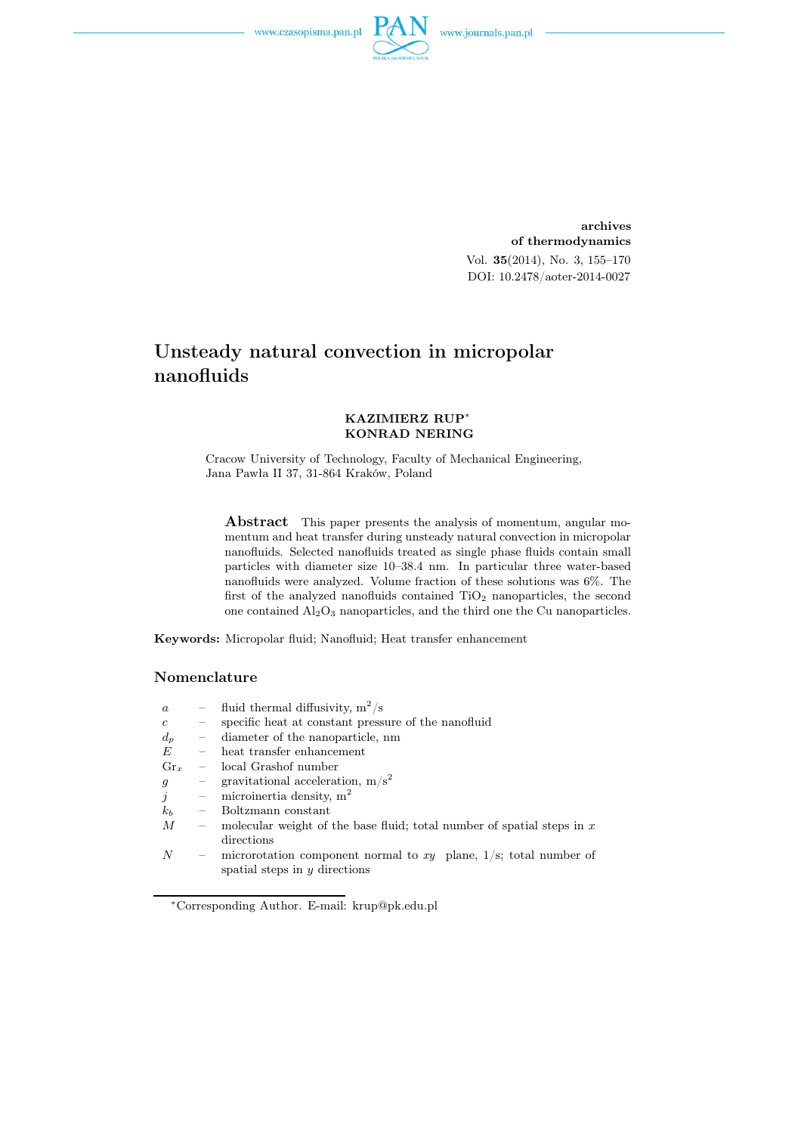

archives of thermodynamics Vol. 35(2014), No. 3, 155–170 DOI: 10.2478/aoter-2014-0027

# Unsteady natural convection in micropolar nanofluids

### KAZIMIERZ RUP<sup>∗</sup> KONRAD NERING

Cracow University of Technology, Faculty of Mechanical Engineering, Jana Pawła II 37, 31-864 Kraków, Poland

Abstract This paper presents the analysis of momentum, angular momentum and heat transfer during unsteady natural convection in micropolar nanofluids. Selected nanofluids treated as single phase fluids contain small particles with diameter size 10–38.4 nm. In particular three water-based nanofluids were analyzed. Volume fraction of these solutions was 6%. The first of the analyzed nanofluids contained  $TiO<sub>2</sub>$  nanoparticles, the second one contained  $Al_2O_3$  nanoparticles, and the third one the Cu nanoparticles.

Keywords: Micropolar fluid; Nanofluid; Heat transfer enhancement

## Nomenclature

| $\alpha$        |                          | - fluid thermal diffusivity, $m^2/s$                                                                       |
|-----------------|--------------------------|------------------------------------------------------------------------------------------------------------|
| $\mathfrak{c}$  | $\overline{\phantom{0}}$ | specific heat at constant pressure of the nanofluid                                                        |
| $d_p$           | $\equiv$ .               | diameter of the nanoparticle, nm                                                                           |
| E               | $\equiv$ .               | heat transfer enhancement                                                                                  |
| $\mathrm{Gr}_x$ |                          | $\sim$ local Grashof number                                                                                |
| $\mathfrak{g}$  |                          | - gravitational acceleration, $m/s^2$                                                                      |
| $\dot{j}$       |                          | - microinertia density, $m^2$                                                                              |
| $k_b$           | $\overline{\phantom{m}}$ | Boltzmann constant                                                                                         |
| М               |                          | - molecular weight of the base fluid; total number of spatial steps in $x$                                 |
|                 |                          | directions                                                                                                 |
| N               |                          | - microrotation component normal to $xy$ plane, $1/s$ ; total number of<br>spatial steps in $y$ directions |

<sup>∗</sup>Corresponding Author. E-mail: krup@pk.edu.pl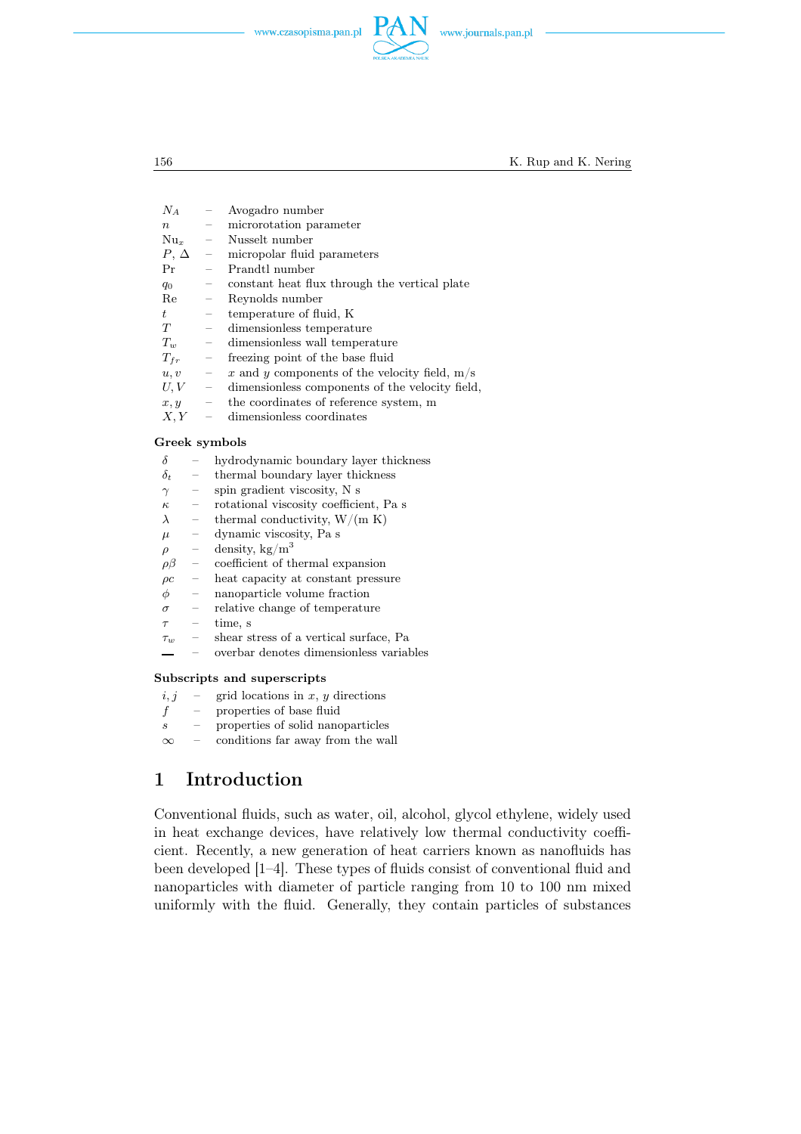

156 K. Rup and K. Nering

| 21 A             |                                 | <i>I</i> II ogaano mannoci                      |
|------------------|---------------------------------|-------------------------------------------------|
| $\boldsymbol{n}$ | $\hspace{0.1mm}-\hspace{0.1mm}$ | microrotation parameter                         |
| $Nu_x$           | $\overline{\phantom{m}}$        | Nusselt number                                  |
| $P, \Delta$      | $\overline{\phantom{0}}$        | micropolar fluid parameters                     |
| Pr               | $\equiv$                        | Prandtl number                                  |
| $q_0$            | $\overline{\phantom{0}}$        | constant heat flux through the vertical plate   |
| Re               | $\equiv$                        | Reynolds number                                 |
| $t_{\parallel}$  | $\qquad \qquad -$               | temperature of fluid, K                         |
| T                | $\qquad \qquad -$               | dimensionless temperature                       |
| $T_w$            | $\overline{\phantom{a}}$        | dimensionless wall temperature                  |
| $T_{fr}$         | $\overline{\phantom{0}}$        | freezing point of the base fluid                |
| u, v             | $\overline{\phantom{m}}$        | x and y components of the velocity field, $m/s$ |
| U, V             | $\equiv$                        | dimensionless components of the velocity field, |
| x, y             | $\overline{\phantom{m}}$        | the coordinates of reference system, m          |
| X, Y             |                                 | dimensionless coordinates                       |
| Freek symbols    |                                 |                                                 |

## Greek symbols

- $\delta$  hydrodynamic boundary layer thickness
- $\delta_t$  thermal boundary layer thickness
- $\gamma$  spin gradient viscosity, N s
- $\kappa$  rotational viscosity coefficient, Pa s
- $\lambda$  thermal conductivity, W/(m K)
- $\mu$  dynamic viscosity, Pa s

 $N_A$  –  $\Delta v$  and  $r_0$  number

- $\rho$  density, kg/m<sup>3</sup><br> $\rho\beta$  coefficient of th
- ρβ coefficient of thermal expansion
- $\rho c$  heat capacity at constant pressure
- $\phi$  nanoparticle volume fraction
- $\sigma$  relative change of temperature
- $\tau$  time, s
- $\tau_w$  shear stress of a vertical surface, Pa
- overbar denotes dimensionless variables

#### Subscripts and superscripts

- $i, j$  grid locations in x, y directions
- $f$  properties of base fluid
- s properties of solid nanoparticles
- $\infty$  conditions far away from the wall

# 1 Introduction

Conventional fluids, such as water, oil, alcohol, glycol ethylene, widely used in heat exchange devices, have relatively low thermal conductivity coefficient. Recently, a new generation of heat carriers known as nanofluids has been developed [1–4]. These types of fluids consist of conventional fluid and nanoparticles with diameter of particle ranging from 10 to 100 nm mixed uniformly with the fluid. Generally, they contain particles of substances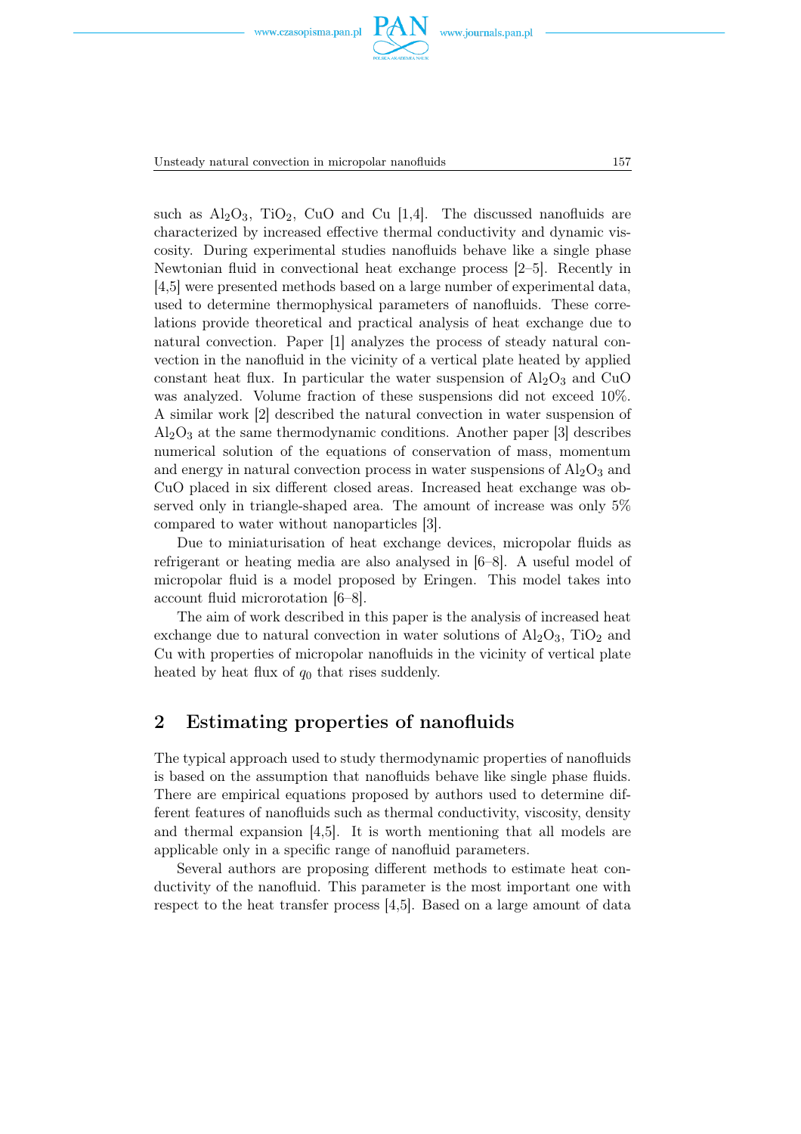





Unsteady natural convection in micropolar nanofluids 157

such as  $\text{Al}_2\text{O}_3$ , TiO<sub>2</sub>, CuO and Cu [1,4]. The discussed nanofluids are characterized by increased effective thermal conductivity and dynamic viscosity. During experimental studies nanofluids behave like a single phase Newtonian fluid in convectional heat exchange process [2–5]. Recently in [4,5] were presented methods based on a large number of experimental data, used to determine thermophysical parameters of nanofluids. These correlations provide theoretical and practical analysis of heat exchange due to natural convection. Paper [1] analyzes the process of steady natural convection in the nanofluid in the vicinity of a vertical plate heated by applied constant heat flux. In particular the water suspension of  $\text{Al}_2\text{O}_3$  and CuO was analyzed. Volume fraction of these suspensions did not exceed 10%. A similar work [2] described the natural convection in water suspension of  $Al<sub>2</sub>O<sub>3</sub>$  at the same thermodynamic conditions. Another paper [3] describes numerical solution of the equations of conservation of mass, momentum and energy in natural convection process in water suspensions of  $\text{Al}_2\text{O}_3$  and CuO placed in six different closed areas. Increased heat exchange was observed only in triangle-shaped area. The amount of increase was only 5% compared to water without nanoparticles [3].

Due to miniaturisation of heat exchange devices, micropolar fluids as refrigerant or heating media are also analysed in [6–8]. A useful model of micropolar fluid is a model proposed by Eringen. This model takes into account fluid microrotation [6–8].

The aim of work described in this paper is the analysis of increased heat exchange due to natural convection in water solutions of  $\text{Al}_2\text{O}_3$ ,  $\text{TiO}_2$  and Cu with properties of micropolar nanofluids in the vicinity of vertical plate heated by heat flux of  $q_0$  that rises suddenly.

# 2 Estimating properties of nanofluids

The typical approach used to study thermodynamic properties of nanofluids is based on the assumption that nanofluids behave like single phase fluids. There are empirical equations proposed by authors used to determine different features of nanofluids such as thermal conductivity, viscosity, density and thermal expansion [4,5]. It is worth mentioning that all models are applicable only in a specific range of nanofluid parameters.

Several authors are proposing different methods to estimate heat conductivity of the nanofluid. This parameter is the most important one with respect to the heat transfer process [4,5]. Based on a large amount of data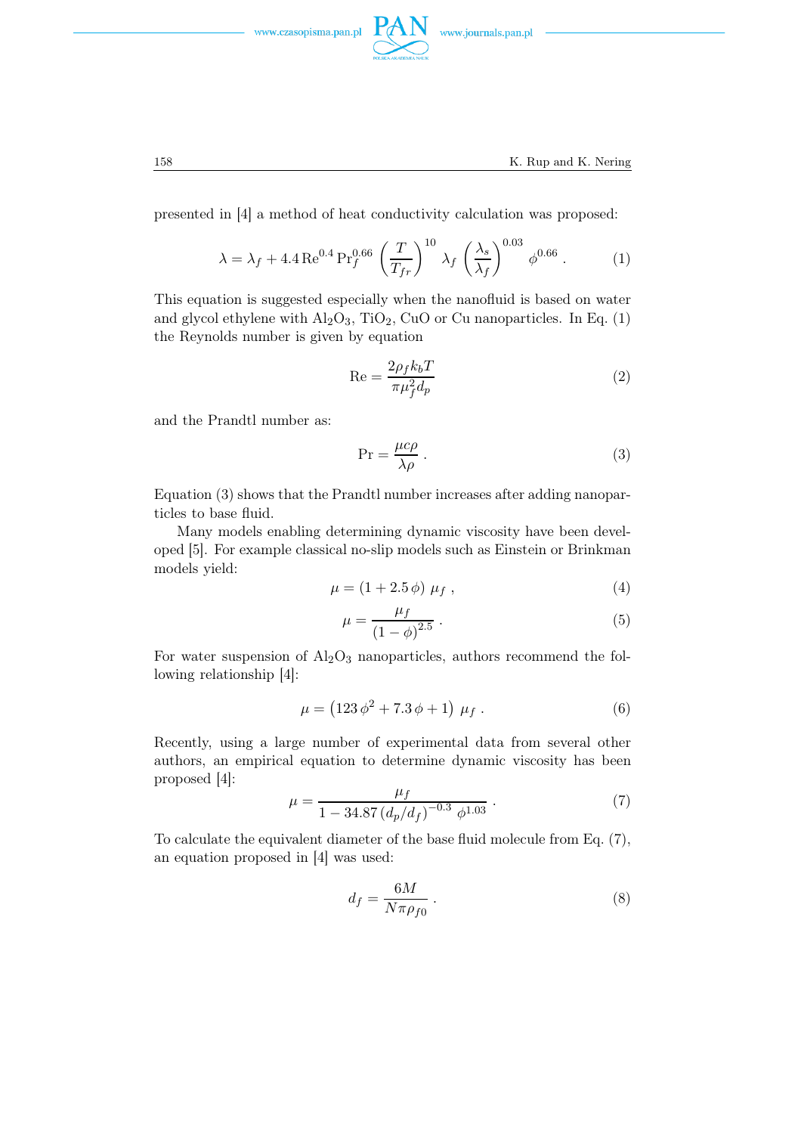



presented in [4] a method of heat conductivity calculation was proposed:

$$
\lambda = \lambda_f + 4.4 \operatorname{Re}^{0.4} \operatorname{Pr}_{f}^{0.66} \left(\frac{T}{T_{fr}}\right)^{10} \lambda_f \left(\frac{\lambda_s}{\lambda_f}\right)^{0.03} \phi^{0.66} . \tag{1}
$$

This equation is suggested especially when the nanofluid is based on water and glycol ethylene with  $Al_2O_3$ , TiO<sub>2</sub>, CuO or Cu nanoparticles. In Eq. (1) the Reynolds number is given by equation

$$
Re = \frac{2\rho_f k_b T}{\pi \mu_f^2 d_p} \tag{2}
$$

and the Prandtl number as:

$$
\Pr = \frac{\mu c \rho}{\lambda \rho} \,. \tag{3}
$$

Equation (3) shows that the Prandtl number increases after adding nanoparticles to base fluid.

Many models enabling determining dynamic viscosity have been developed [5]. For example classical no-slip models such as Einstein or Brinkman models yield:

$$
\mu = (1 + 2.5 \phi) \mu_f , \qquad (4)
$$

$$
\mu = \frac{\mu_f}{(1 - \phi)^{2.5}} \,. \tag{5}
$$

For water suspension of  $\text{Al}_2\text{O}_3$  nanoparticles, authors recommend the following relationship [4]:

$$
\mu = (123 \phi^2 + 7.3 \phi + 1) \mu_f . \tag{6}
$$

Recently, using a large number of experimental data from several other authors, an empirical equation to determine dynamic viscosity has been proposed [4]:

$$
\mu = \frac{\mu_f}{1 - 34.87 \left( d_p / d_f \right)^{-0.3} \phi^{1.03}} \,. \tag{7}
$$

To calculate the equivalent diameter of the base fluid molecule from Eq. (7), an equation proposed in [4] was used:

$$
d_f = \frac{6M}{N\pi\rho_{f0}}\,. \tag{8}
$$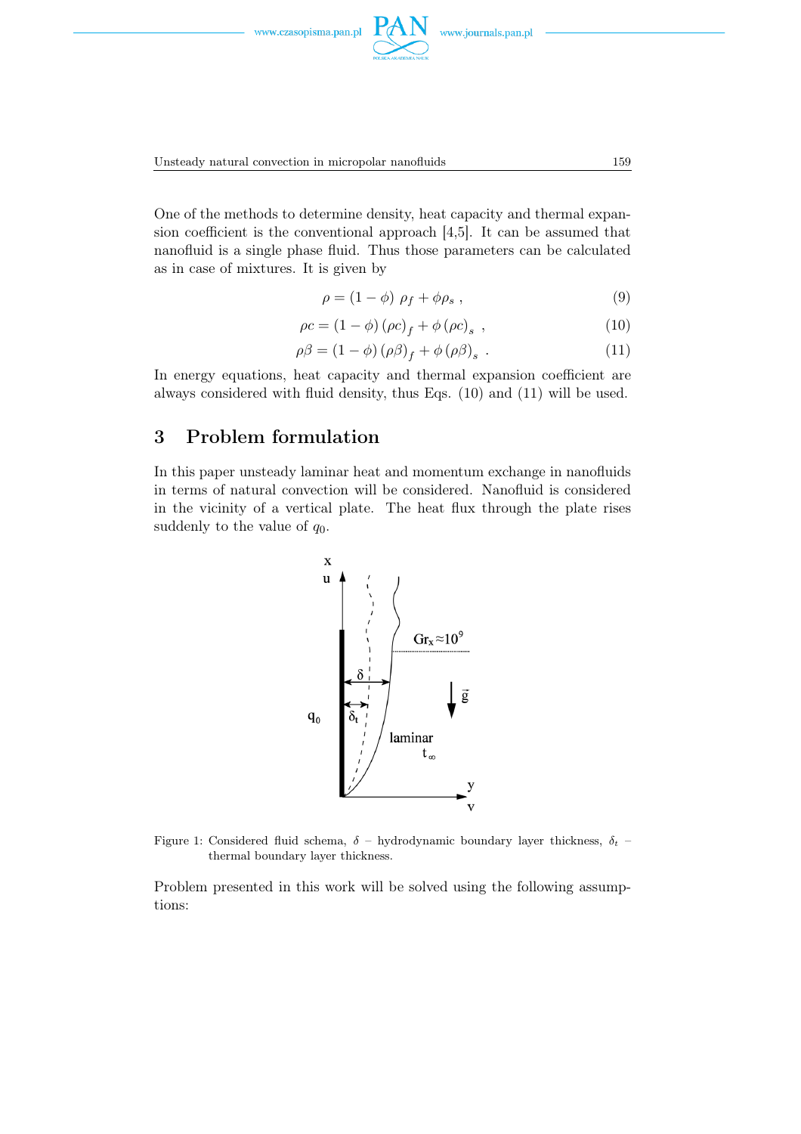

Unsteady natural convection in micropolar nanofluids 159

One of the methods to determine density, heat capacity and thermal expansion coefficient is the conventional approach [4,5]. It can be assumed that nanofluid is a single phase fluid. Thus those parameters can be calculated as in case of mixtures. It is given by

$$
\rho = (1 - \phi) \rho_f + \phi \rho_s , \qquad (9)
$$

$$
\rho c = (1 - \phi) (\rho c)_f + \phi (\rho c)_s , \qquad (10)
$$

$$
\rho \beta = (1 - \phi) (\rho \beta)_f + \phi (\rho \beta)_s . \tag{11}
$$

In energy equations, heat capacity and thermal expansion coefficient are always considered with fluid density, thus Eqs. (10) and (11) will be used.

# 3 Problem formulation

In this paper unsteady laminar heat and momentum exchange in nanofluids in terms of natural convection will be considered. Nanofluid is considered in the vicinity of a vertical plate. The heat flux through the plate rises suddenly to the value of  $q_0$ .



Figure 1: Considered fluid schema,  $\delta$  – hydrodynamic boundary layer thickness,  $\delta_t$  – thermal boundary layer thickness.

Problem presented in this work will be solved using the following assumptions: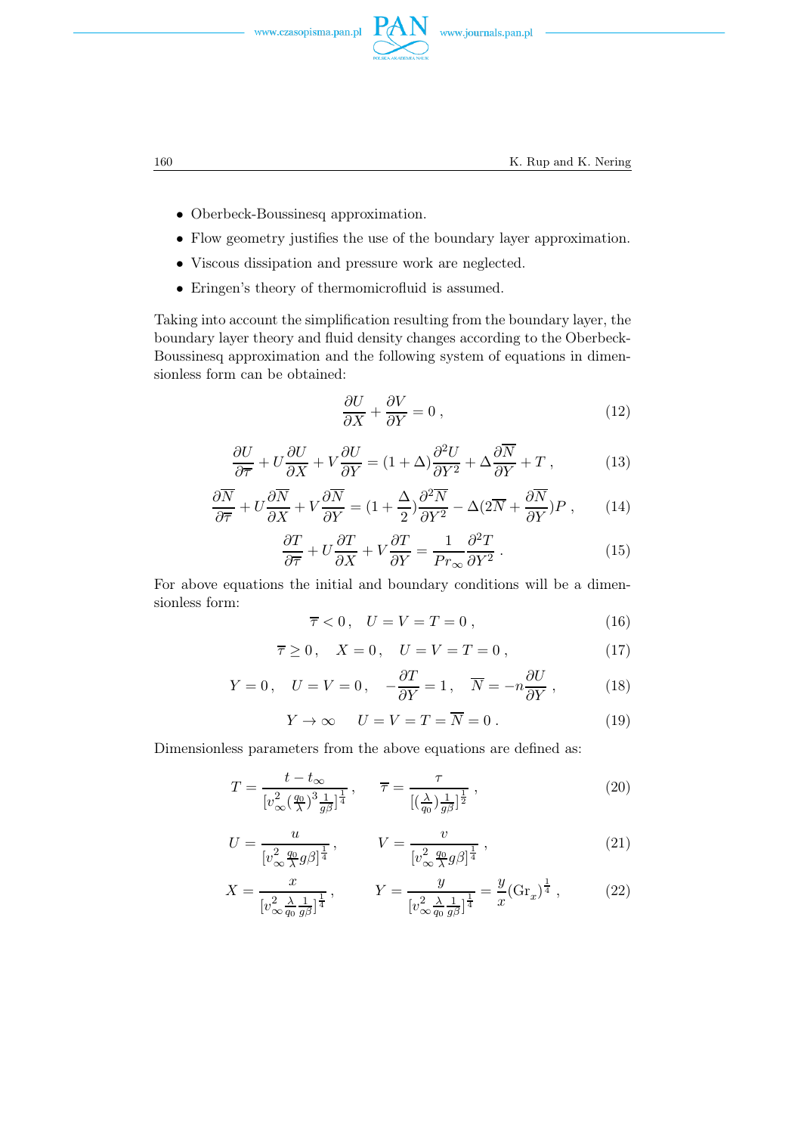



- Oberbeck-Boussinesq approximation.
- Flow geometry justifies the use of the boundary layer approximation.
- Viscous dissipation and pressure work are neglected.
- Eringen's theory of thermomicrofluid is assumed.

Taking into account the simplification resulting from the boundary layer, the boundary layer theory and fluid density changes according to the Oberbeck-Boussinesq approximation and the following system of equations in dimensionless form can be obtained:

$$
\frac{\partial U}{\partial X} + \frac{\partial V}{\partial Y} = 0 \tag{12}
$$

$$
\frac{\partial U}{\partial \overline{\tau}} + U \frac{\partial U}{\partial X} + V \frac{\partial U}{\partial Y} = (1 + \Delta) \frac{\partial^2 U}{\partial Y^2} + \Delta \frac{\partial \overline{N}}{\partial Y} + T , \qquad (13)
$$

$$
\frac{\partial \overline{N}}{\partial \overline{\tau}} + U \frac{\partial \overline{N}}{\partial X} + V \frac{\partial \overline{N}}{\partial Y} = (1 + \frac{\Delta}{2}) \frac{\partial^2 \overline{N}}{\partial Y^2} - \Delta (2\overline{N} + \frac{\partial \overline{N}}{\partial Y}) P , \qquad (14)
$$

$$
\frac{\partial T}{\partial \overline{\tau}} + U \frac{\partial T}{\partial X} + V \frac{\partial T}{\partial Y} = \frac{1}{Pr_{\infty}} \frac{\partial^2 T}{\partial Y^2} .
$$
 (15)

For above equations the initial and boundary conditions will be a dimensionless form:

$$
\overline{\tau} < 0, \quad U = V = T = 0 \tag{16}
$$

$$
\overline{\tau} \ge 0, \quad X = 0, \quad U = V = T = 0, \tag{17}
$$

$$
Y = 0, \quad U = V = 0, \quad -\frac{\partial T}{\partial Y} = 1, \quad \overline{N} = -n\frac{\partial U}{\partial Y}, \quad (18)
$$

$$
Y \to \infty \qquad U = V = T = \overline{N} = 0 \; . \tag{19}
$$

Dimensionless parameters from the above equations are defined as:

$$
T = \frac{t - t_{\infty}}{[v_{\infty}^2(\frac{q_0}{\lambda})^3 \frac{1}{g\beta}]^{\frac{1}{4}}}, \qquad \overline{\tau} = \frac{\tau}{[(\frac{\lambda}{q_0}) \frac{1}{g\beta}]^{\frac{1}{2}}},
$$
\n(20)

$$
U = \frac{u}{[v_{\infty}^2 \frac{q_0}{\lambda} g \beta]^{\frac{1}{4}}}, \qquad V = \frac{v}{[v_{\infty}^2 \frac{q_0}{\lambda} g \beta]^{\frac{1}{4}}}, \qquad (21)
$$

$$
X = \frac{x}{[v_{\infty}^2 \frac{\lambda}{q_0} \frac{1}{g\beta}]^{\frac{1}{4}}}, \qquad Y = \frac{y}{[v_{\infty}^2 \frac{\lambda}{q_0} \frac{1}{g\beta}]^{\frac{1}{4}}} = \frac{y}{x} (\text{Gr}_x)^{\frac{1}{4}}, \qquad (22)
$$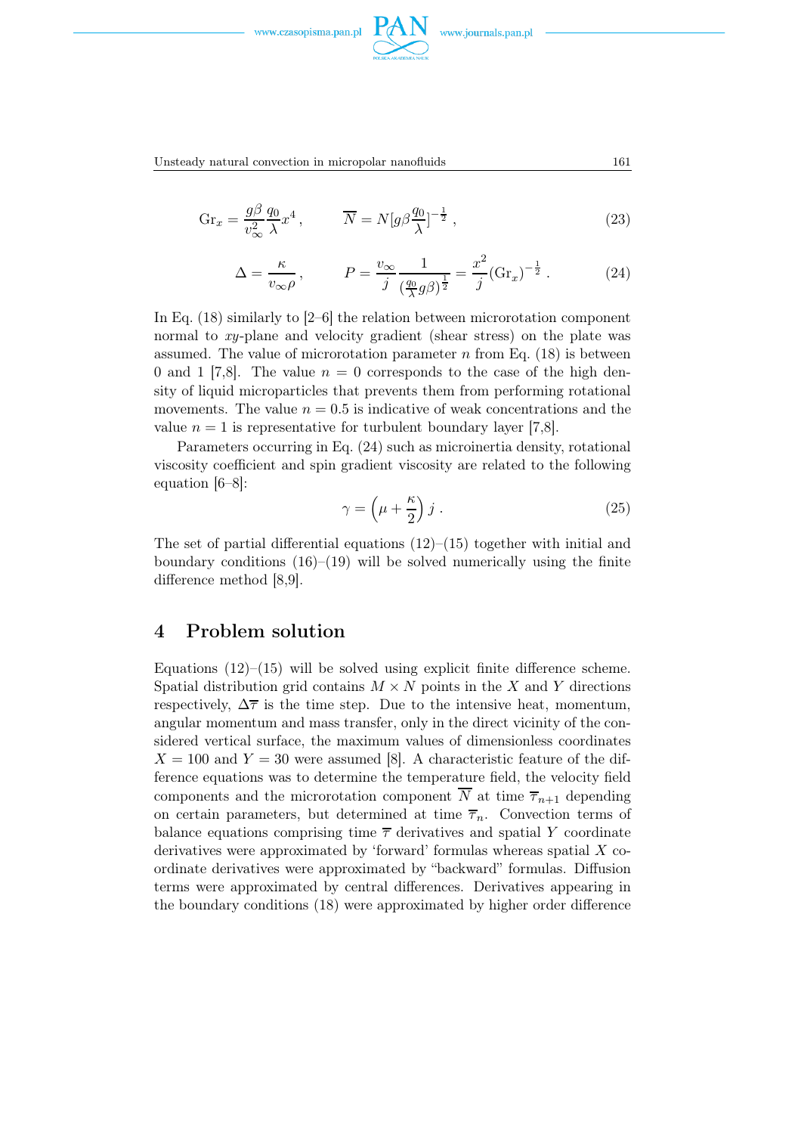

Unsteady natural convection in micropolar nanofluids 161

$$
Gr_x = \frac{g\beta}{v_\infty^2} \frac{q_0}{\lambda} x^4 , \qquad \overline{N} = N[g\beta \frac{q_0}{\lambda}]^{-\frac{1}{2}} , \qquad (23)
$$

$$
\Delta = \frac{\kappa}{v_{\infty}\rho}, \qquad P = \frac{v_{\infty}}{j} \frac{1}{(\frac{q_0}{\lambda}g\beta)^{\frac{1}{2}}} = \frac{x^2}{j}(\text{Gr}_x)^{-\frac{1}{2}}.
$$
 (24)

In Eq. (18) similarly to [2–6] the relation between microrotation component normal to  $xy$ -plane and velocity gradient (shear stress) on the plate was assumed. The value of microrotation parameter n from Eq.  $(18)$  is between 0 and 1 [7,8]. The value  $n = 0$  corresponds to the case of the high density of liquid microparticles that prevents them from performing rotational movements. The value  $n = 0.5$  is indicative of weak concentrations and the value  $n = 1$  is representative for turbulent boundary layer [7,8].

Parameters occurring in Eq. (24) such as microinertia density, rotational viscosity coefficient and spin gradient viscosity are related to the following equation [6–8]:

$$
\gamma = \left(\mu + \frac{\kappa}{2}\right)j\,. \tag{25}
$$

The set of partial differential equations  $(12)$ – $(15)$  together with initial and boundary conditions  $(16)$ – $(19)$  will be solved numerically using the finite difference method [8,9].

# 4 Problem solution

Equations  $(12)$ – $(15)$  will be solved using explicit finite difference scheme. Spatial distribution grid contains  $M \times N$  points in the X and Y directions respectively,  $\Delta \overline{\tau}$  is the time step. Due to the intensive heat, momentum, angular momentum and mass transfer, only in the direct vicinity of the considered vertical surface, the maximum values of dimensionless coordinates  $X = 100$  and  $Y = 30$  were assumed [8]. A characteristic feature of the difference equations was to determine the temperature field, the velocity field components and the microrotation component  $\overline{N}$  at time  $\overline{\tau}_{n+1}$  depending on certain parameters, but determined at time  $\overline{\tau}_n$ . Convection terms of balance equations comprising time  $\bar{\tau}$  derivatives and spatial Y coordinate derivatives were approximated by 'forward' formulas whereas spatial  $X$  coordinate derivatives were approximated by "backward" formulas. Diffusion terms were approximated by central differences. Derivatives appearing in the boundary conditions (18) were approximated by higher order difference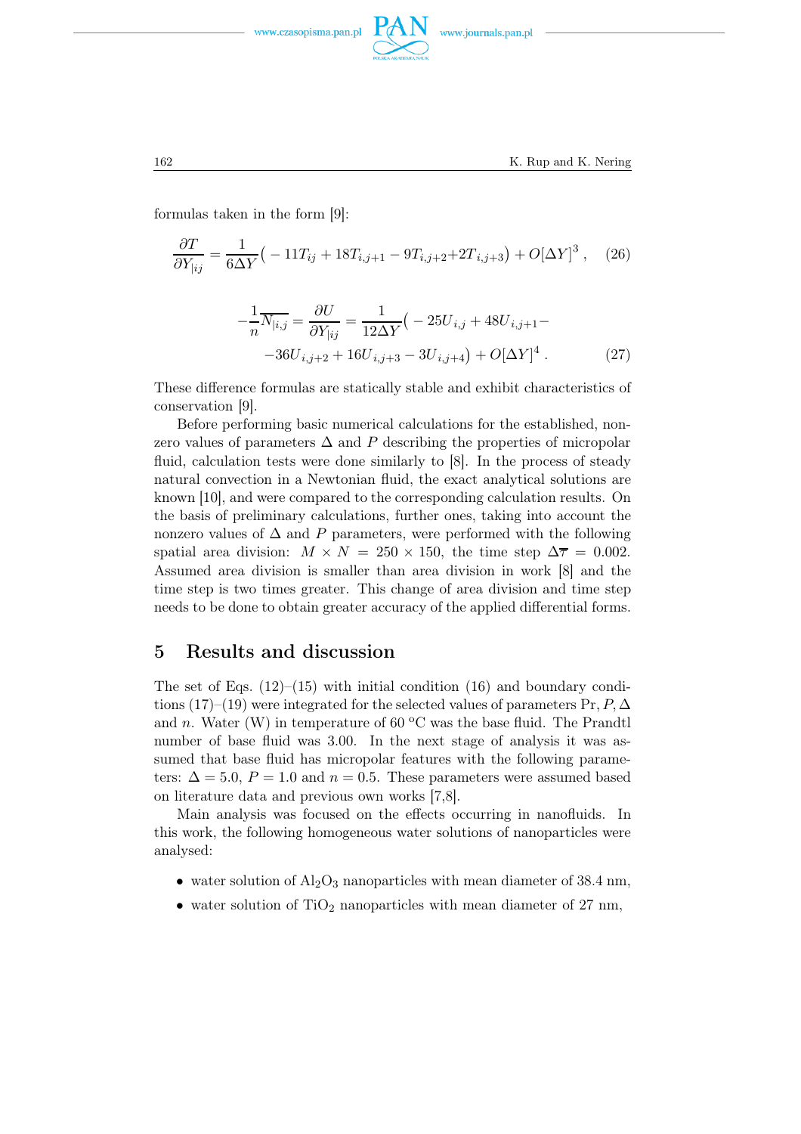



formulas taken in the form [9]:

$$
\frac{\partial T}{\partial Y_{|ij}} = \frac{1}{6\Delta Y} \left( -11T_{ij} + 18T_{i,j+1} - 9T_{i,j+2} + 2T_{i,j+3} \right) + O[\Delta Y]^3 , \quad (26)
$$

$$
-\frac{1}{n}\overline{N_{|i,j}} = \frac{\partial U}{\partial Y_{|ij}} = \frac{1}{12\Delta Y} \left( -25U_{i,j} + 48U_{i,j+1} - -36U_{i,j+2} + 16U_{i,j+3} - 3U_{i,j+4} \right) + O[\Delta Y]^4.
$$
 (27)

These difference formulas are statically stable and exhibit characteristics of conservation [9].

Before performing basic numerical calculations for the established, nonzero values of parameters  $\Delta$  and P describing the properties of micropolar fluid, calculation tests were done similarly to [8]. In the process of steady natural convection in a Newtonian fluid, the exact analytical solutions are known [10], and were compared to the corresponding calculation results. On the basis of preliminary calculations, further ones, taking into account the nonzero values of  $\Delta$  and P parameters, were performed with the following spatial area division:  $M \times N = 250 \times 150$ , the time step  $\Delta \overline{\tau} = 0.002$ . Assumed area division is smaller than area division in work [8] and the time step is two times greater. This change of area division and time step needs to be done to obtain greater accuracy of the applied differential forms.

# 5 Results and discussion

The set of Eqs.  $(12)$ – $(15)$  with initial condition  $(16)$  and boundary conditions (17)–(19) were integrated for the selected values of parameters Pr,  $P, \Delta$ and n. Water (W) in temperature of 60  $\rm{^{\circ}C}$  was the base fluid. The Prandtl number of base fluid was 3.00. In the next stage of analysis it was assumed that base fluid has micropolar features with the following parameters:  $\Delta = 5.0$ ,  $P = 1.0$  and  $n = 0.5$ . These parameters were assumed based on literature data and previous own works [7,8].

Main analysis was focused on the effects occurring in nanofluids. In this work, the following homogeneous water solutions of nanoparticles were analysed:

- water solution of  $\text{Al}_2\text{O}_3$  nanoparticles with mean diameter of 38.4 nm,
- water solution of  $TiO<sub>2</sub>$  nanoparticles with mean diameter of 27 nm,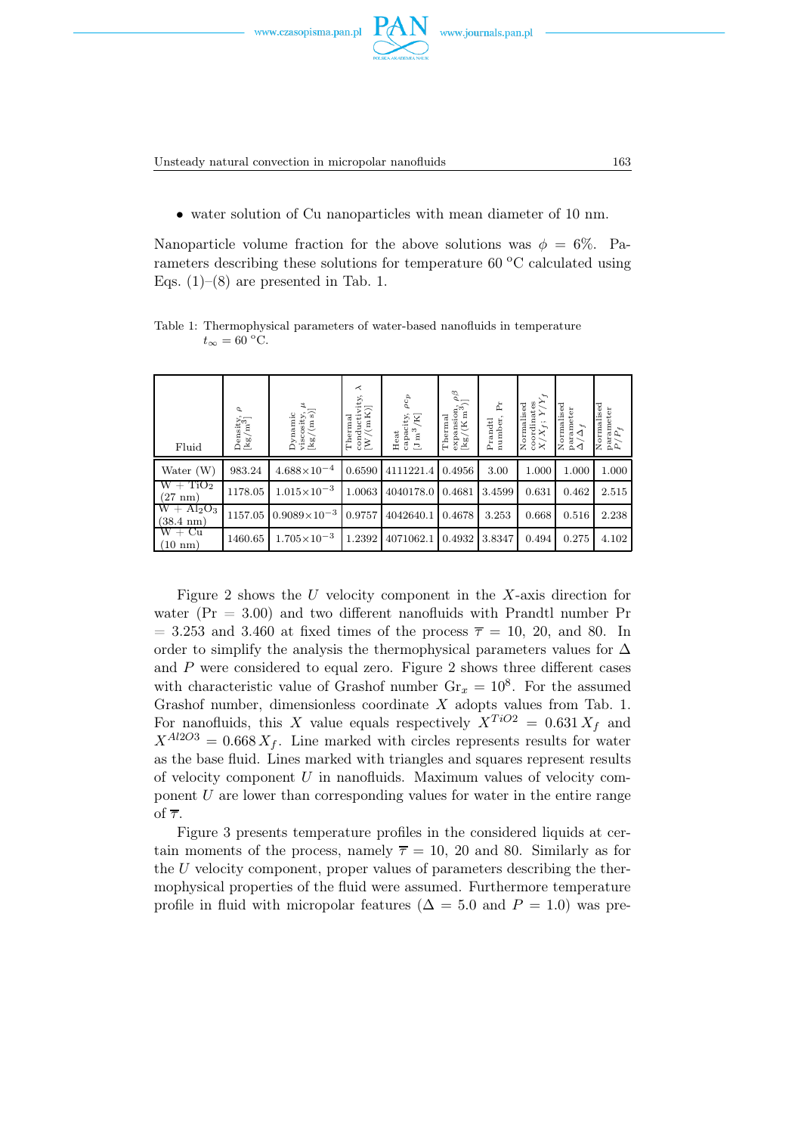Unsteady natural convection in micropolar nanofluids 163

• water solution of Cu nanoparticles with mean diameter of 10 nm.

Nanoparticle volume fraction for the above solutions was  $\phi = 6\%$ . Parameters describing these solutions for temperature  $60 °C$  calculated using Eqs.  $(1)$ – $(8)$  are presented in Tab. 1.

| Fluid                              | $\sigma$<br>$\frac{\rm Density}{[{\rm kg/m}^3]}$ | $\begin{array}{l} \text{Dynamic}\\ \text{viscosity, }\mu\\ \text{[kg/(m s)]} \end{array}$ | $\prec$<br>$\begin{array}{l} \mbox{conductivity},\\ \mbox{[W/(mK)]} \end{array}$<br>Thermal | $\rho c_p$<br>capacity, $\left[\mathrm{J\,m}^3\,\middle/ K\right]$<br>Heat | expansion, $\rho\beta$<br>[kg/(K m <sup>3</sup> )]<br>Thermal | Ĕ<br>number,<br>Prandtl | $\chi^{\prime}_{\chi}$<br>coordinates<br>Normalised<br>Σ<br>$X/X_f;$ | Normalised<br>parameter $\Delta/\Delta_f$<br>$\tilde{\Delta}_f$ | Normalised<br>$\begin{array}{l} \rm parameter\\ P/P_f \end{array}$<br>$P_{f}$ |
|------------------------------------|--------------------------------------------------|-------------------------------------------------------------------------------------------|---------------------------------------------------------------------------------------------|----------------------------------------------------------------------------|---------------------------------------------------------------|-------------------------|----------------------------------------------------------------------|-----------------------------------------------------------------|-------------------------------------------------------------------------------|
| Water $(W)$                        | 983.24                                           | $4.688\times10^{-4}$                                                                      | 0.6590                                                                                      | 4111221.4                                                                  | 0.4956                                                        | 3.00                    | 1.000                                                                | 1.000                                                           | 1.000                                                                         |
| $W + TiO2$<br>$(27 \text{ nm})$    | 1178.05                                          | $1.015\times10^{-3}$                                                                      | 1.0063                                                                                      | 4040178.0 0.4681                                                           |                                                               | 3.4599                  | 0.631                                                                | 0.462                                                           | 2.515                                                                         |
| $W + Al2O3$<br>$(38.4 \text{ nm})$ | 1157.05                                          | $0.9089\times10^{-3}$                                                                     | 0.9757                                                                                      | 4042640.1   0.4678                                                         |                                                               | 3.253                   | 0.668                                                                | 0.516                                                           | 2.238                                                                         |
| $W + Cu$<br>$(10 \text{ nm})$      | 1460.65                                          | $1.705\times10^{-3}$                                                                      | 1.2392                                                                                      | 4071062.1                                                                  | 0.4932                                                        | 3.8347                  | 0.494                                                                | 0.275                                                           | 4.102                                                                         |

Table 1: Thermophysical parameters of water-based nanofluids in temperature  $t_{\infty} = 60$  °C.

Figure 2 shows the  $U$  velocity component in the  $X$ -axis direction for water  $(Pr = 3.00)$  and two different nanofluids with Prandtl number Pr  $=$  3.253 and 3.460 at fixed times of the process  $\overline{\tau}$  = 10, 20, and 80. In order to simplify the analysis the thermophysical parameters values for  $\Delta$ and  $P$  were considered to equal zero. Figure 2 shows three different cases with characteristic value of Grashof number  $\text{Gr}_x = 10^8$ . For the assumed Grashof number, dimensionless coordinate  $X$  adopts values from Tab. 1. For nanofluids, this X value equals respectively  $X^{TiO2} = 0.631 X_f$  and  $X^{Al2O3} = 0.668 X_f$ . Line marked with circles represents results for water as the base fluid. Lines marked with triangles and squares represent results of velocity component  $U$  in nanofluids. Maximum values of velocity component U are lower than corresponding values for water in the entire range of  $\overline{\tau}$ .

Figure 3 presents temperature profiles in the considered liquids at certain moments of the process, namely  $\overline{\tau} = 10$ , 20 and 80. Similarly as for the U velocity component, proper values of parameters describing the thermophysical properties of the fluid were assumed. Furthermore temperature profile in fluid with micropolar features ( $\Delta = 5.0$  and  $P = 1.0$ ) was pre-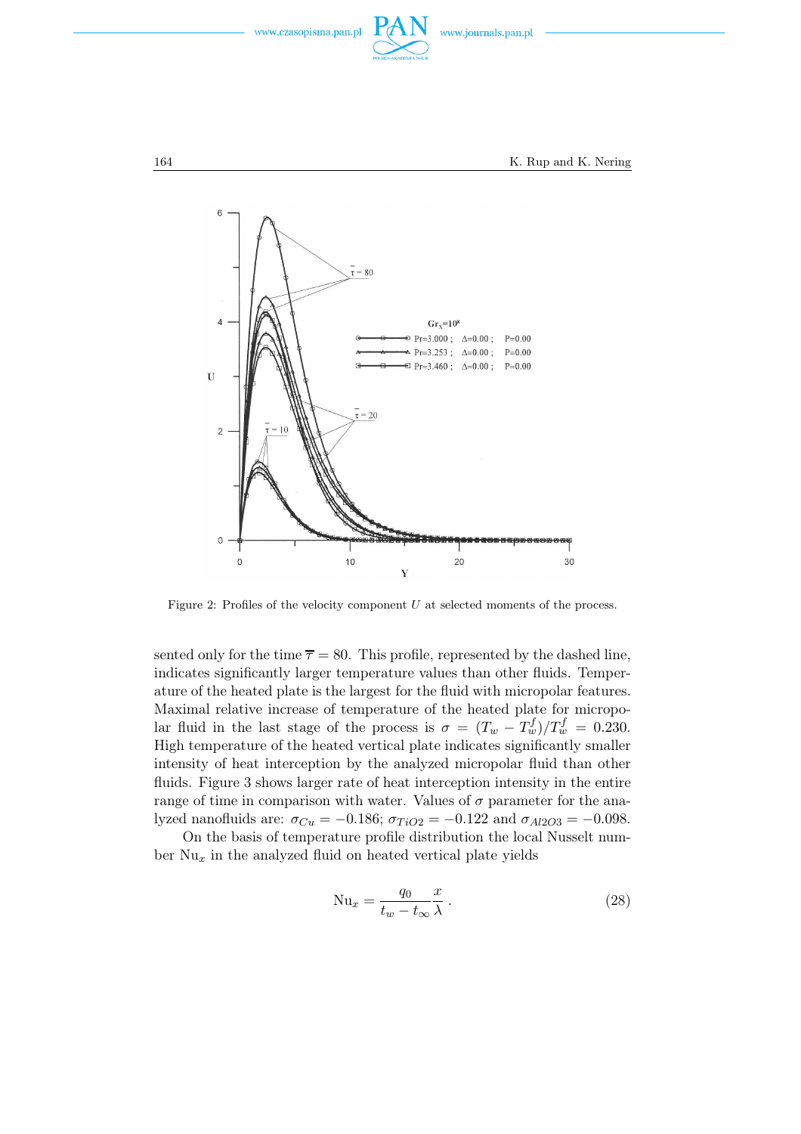



Figure 2: Profiles of the velocity component  $U$  at selected moments of the process.

sented only for the time  $\overline{\tau} = 80$ . This profile, represented by the dashed line, indicates significantly larger temperature values than other fluids. Temperature of the heated plate is the largest for the fluid with micropolar features. Maximal relative increase of temperature of the heated plate for micropolar fluid in the last stage of the process is  $\sigma = (T_w - T_w^f)/T_w^f = 0.230$ . High temperature of the heated vertical plate indicates significantly smaller intensity of heat interception by the analyzed micropolar fluid than other fluids. Figure 3 shows larger rate of heat interception intensity in the entire range of time in comparison with water. Values of  $\sigma$  parameter for the analyzed nanofluids are:  $\sigma_{Cu} = -0.186$ ;  $\sigma_{TiO2} = -0.122$  and  $\sigma_{Al2O3} = -0.098$ .

On the basis of temperature profile distribution the local Nusselt number  $Nu_x$  in the analyzed fluid on heated vertical plate yields

$$
\text{Nu}_x = \frac{q_0}{t_w - t_\infty} \frac{x}{\lambda} \,. \tag{28}
$$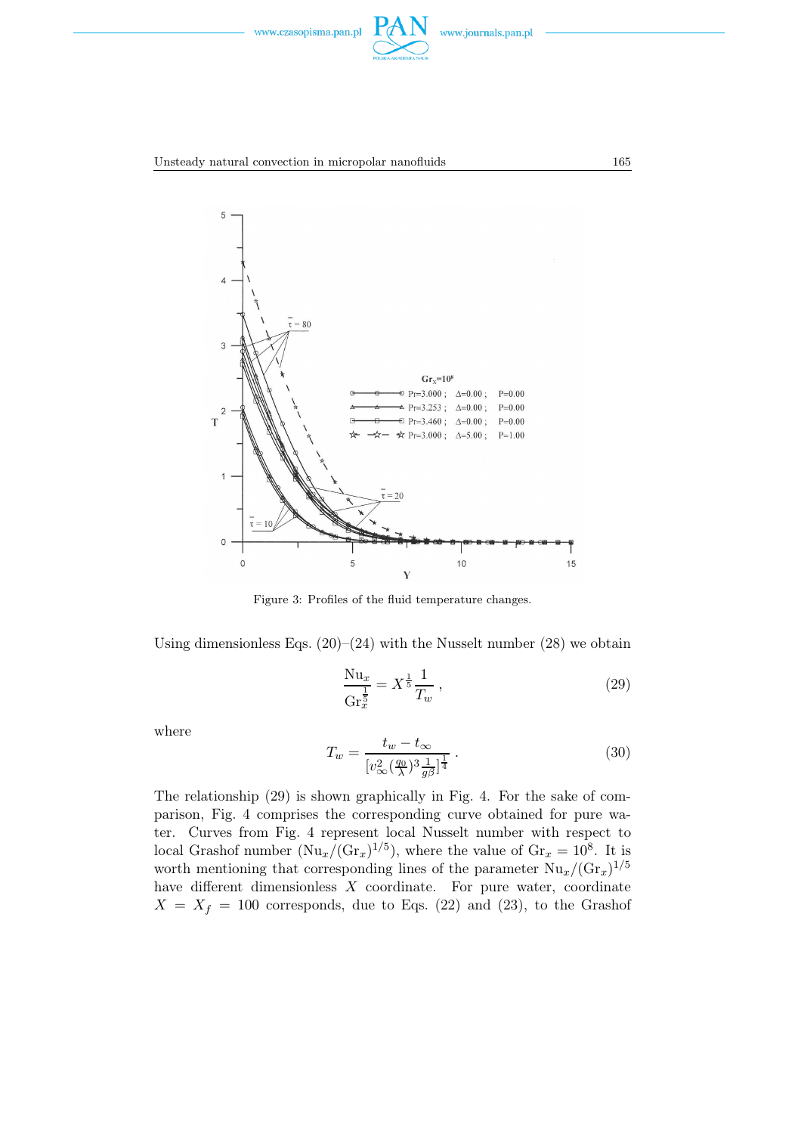



Figure 3: Profiles of the fluid temperature changes.

Using dimensionless Eqs.  $(20)$ – $(24)$  with the Nusselt number  $(28)$  we obtain

$$
\frac{\text{Nu}_x}{\text{Gr}_x^{\frac{1}{5}}} = X^{\frac{1}{5}} \frac{1}{T_w} \,, \tag{29}
$$

where

$$
T_w = \frac{t_w - t_\infty}{[v_\infty^2(\frac{q_0}{\lambda})^3 \frac{1}{g\beta}]^{\frac{1}{4}}}.
$$
\n(30)

The relationship (29) is shown graphically in Fig. 4. For the sake of comparison, Fig. 4 comprises the corresponding curve obtained for pure water. Curves from Fig. 4 represent local Nusselt number with respect to local Grashof number  $(Nu_x/(Gr_x)^{1/5})$ , where the value of  $Gr_x = 10^8$ . It is worth mentioning that corresponding lines of the parameter  $Nu_x/(\text{Gr}_x)^{1/5}$ have different dimensionless  $X$  coordinate. For pure water, coordinate  $X = X_f = 100$  corresponds, due to Eqs. (22) and (23), to the Grashof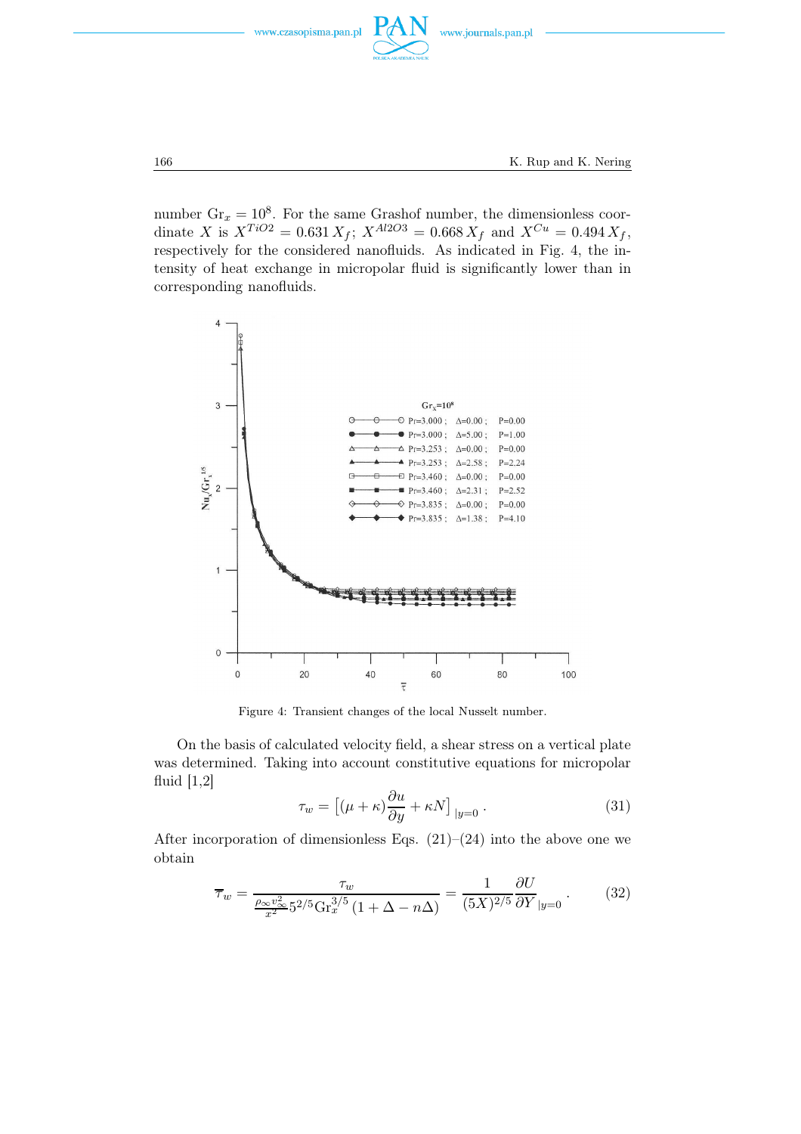



number  $\text{Gr}_x = 10^8$ . For the same Grashof number, the dimensionless coordinate X is  $X^{TiO2} = 0.631 X_f$ ;  $X^{Al2O3} = 0.668 X_f$  and  $X^{Cu} = 0.494 X_f$ , respectively for the considered nanofluids. As indicated in Fig. 4, the intensity of heat exchange in micropolar fluid is significantly lower than in corresponding nanofluids.



Figure 4: Transient changes of the local Nusselt number.

On the basis of calculated velocity field, a shear stress on a vertical plate was determined. Taking into account constitutive equations for micropolar fluid  $[1,2]$ 

$$
\tau_w = \left[ (\mu + \kappa) \frac{\partial u}{\partial y} + \kappa N \right]_{|y=0} . \tag{31}
$$

After incorporation of dimensionless Eqs.  $(21)–(24)$  into the above one we obtain

$$
\overline{\tau}_w = \frac{\tau_w}{\frac{\rho_\infty v_\infty^2}{x^2} 5^{2/5} \text{Gr}_x^{3/5} (1 + \Delta - n\Delta)} = \frac{1}{(5X)^{2/5}} \frac{\partial U}{\partial Y}_{|y=0} \,. \tag{32}
$$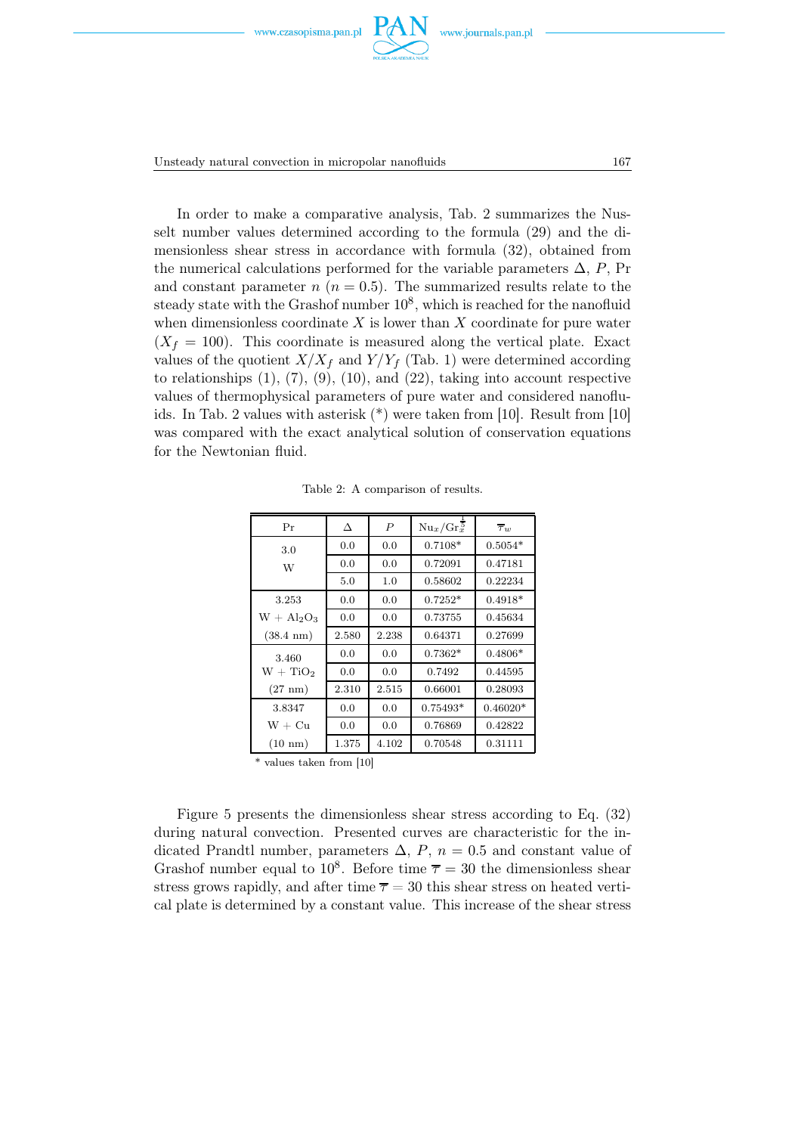



Unsteady natural convection in micropolar nanofluids 167

In order to make a comparative analysis, Tab. 2 summarizes the Nusselt number values determined according to the formula (29) and the dimensionless shear stress in accordance with formula (32), obtained from the numerical calculations performed for the variable parameters  $\Delta$ , P, Pr and constant parameter  $n (n = 0.5)$ . The summarized results relate to the steady state with the Grashof number  $10^8$ , which is reached for the nanofluid when dimensionless coordinate  $X$  is lower than  $X$  coordinate for pure water  $(X_f = 100)$ . This coordinate is measured along the vertical plate. Exact values of the quotient  $X/X_f$  and  $Y/Y_f$  (Tab. 1) were determined according to relationships  $(1)$ ,  $(7)$ ,  $(9)$ ,  $(10)$ , and  $(22)$ , taking into account respective values of thermophysical parameters of pure water and considered nanofluids. In Tab. 2 values with asterisk (\*) were taken from [10]. Result from [10] was compared with the exact analytical solution of conservation equations for the Newtonian fluid.

| Pr                  | Δ     | $\boldsymbol{P}$ | $Nu_x/Gr_x^5$ | $\overline{\tau}_w$ |  |
|---------------------|-------|------------------|---------------|---------------------|--|
| 3.0                 | 0.0   | 0.0              | $0.7108*$     | $0.5054*$           |  |
| W                   | 0.0   | 0.0              | 0.72091       | 0.47181             |  |
|                     | 5.0   | 1.0              | 0.58602       | 0.22234             |  |
| 3.253               | 0.0   | 0.0              | $0.7252*$     | $0.4918*$           |  |
| $W + Al_2O_3$       | 0.0   | 0.0              | 0.73755       | 0.45634             |  |
| $(38.4 \text{ nm})$ | 2.580 | 2.238            | 0.64371       | 0.27699             |  |
| 3.460               | 0.0   | 0.0              | $0.7362*$     | $0.4806*$           |  |
| $W + TiO2$          | 0.0   | 0.0              | 0.7492        | 0.44595             |  |
| $(27 \text{ nm})$   | 2.310 | 2.515            | 0.66001       | 0.28093             |  |
| 3.8347              | 0.0   | 0.0              | $0.75493*$    | $0.46020*$          |  |
| $W + Cu$            | 0.0   | 0.0              | 0.76869       | 0.42822             |  |
| $(10 \text{ nm})$   | 1.375 | 4.102            | 0.70548       | 0.31111             |  |

Table 2: A comparison of results.

\* values taken from [10]

Figure 5 presents the dimensionless shear stress according to Eq. (32) during natural convection. Presented curves are characteristic for the indicated Prandtl number, parameters  $\Delta$ , P,  $n = 0.5$  and constant value of Grashof number equal to  $10^8$ . Before time  $\overline{\tau} = 30$  the dimensionless shear stress grows rapidly, and after time  $\overline{\tau} = 30$  this shear stress on heated vertical plate is determined by a constant value. This increase of the shear stress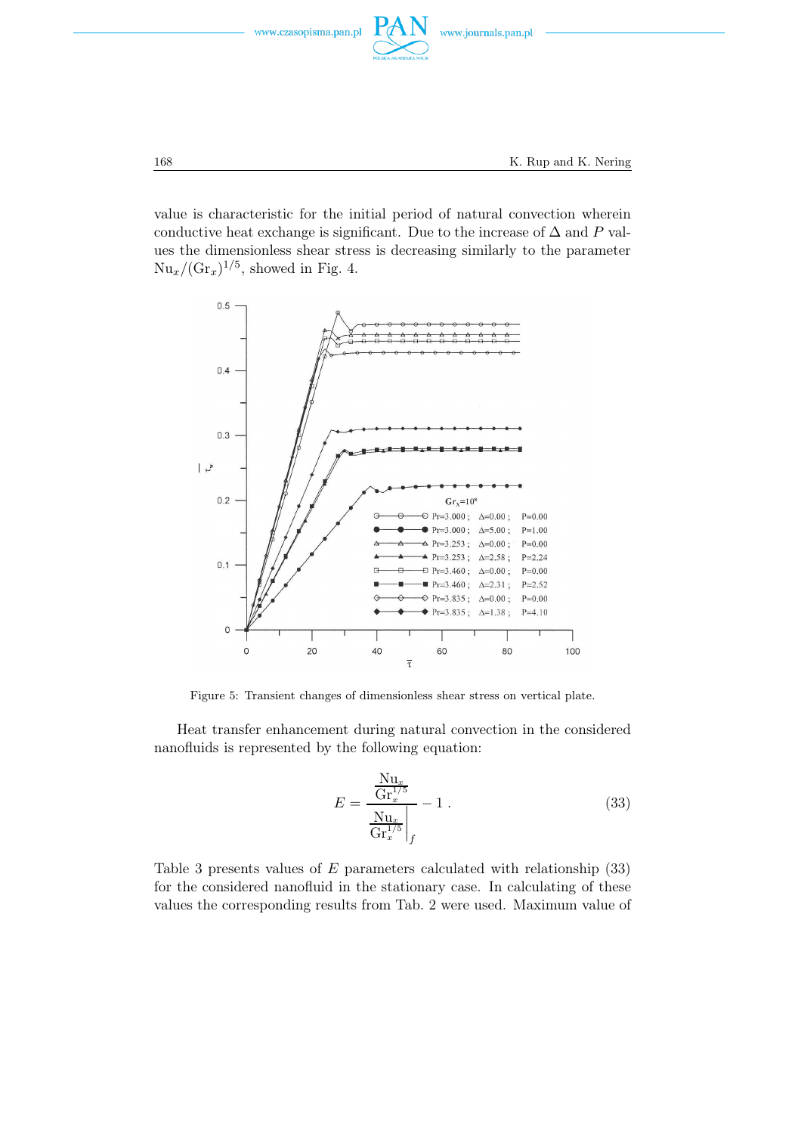

value is characteristic for the initial period of natural convection wherein conductive heat exchange is significant. Due to the increase of  $\Delta$  and P values the dimensionless shear stress is decreasing similarly to the parameter  $Nu_x/(\text{Gr}_x)^{1/5}$ , showed in Fig. 4.



Figure 5: Transient changes of dimensionless shear stress on vertical plate.

Heat transfer enhancement during natural convection in the considered nanofluids is represented by the following equation:

$$
E = \frac{\frac{Nu_x}{Gr_x^{1/5}}}{\frac{Nu_x}{Gr_x^{1/5}}}\n- 1.
$$
\n(33)

Table 3 presents values of E parameters calculated with relationship (33) for the considered nanofluid in the stationary case. In calculating of these values the corresponding results from Tab. 2 were used. Maximum value of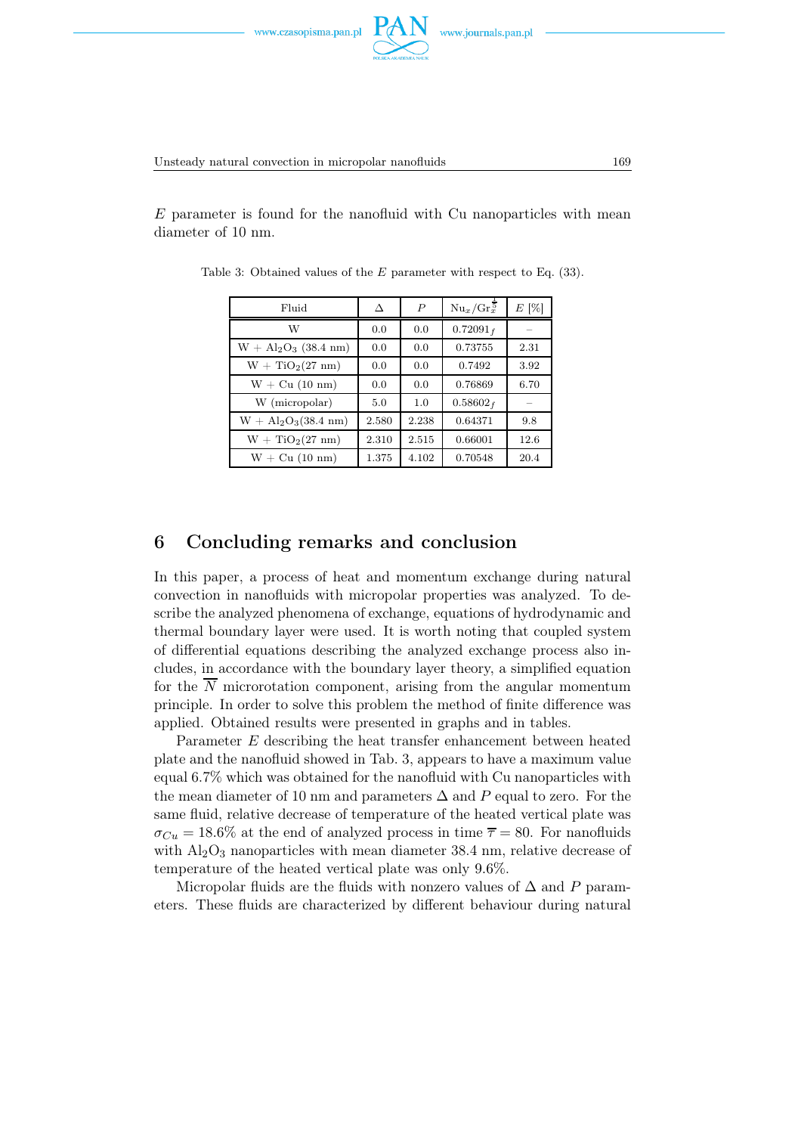



Unsteady natural convection in micropolar nanofluids 169

 $E$  parameter is found for the nanofluid with Cu nanoparticles with mean diameter of 10 nm.

| Fluid                 | Л     | $\boldsymbol{P}$ | $Nu_x/Gr_x^5$ | $E[\%]$ |
|-----------------------|-------|------------------|---------------|---------|
| W                     | 0.0   | 0.0              | $0.72091_f$   |         |
| $W + Al2O3$ (38.4 nm) | 0.0   | 0.0              | 0.73755       | 2.31    |
| $W + TiO2(27 nm)$     | 0.0   | 0.0              | 0.7492        | 3.92    |
| $W + Cu (10 nm)$      | 0.0   | 0.0              | 0.76869       | 6.70    |
| W (micropolar)        | 5.0   | 1.0              | $0.58602_f$   |         |
| $W + Al2O3(38.4 nm)$  | 2.580 | 2.238            | 0.64371       | 9.8     |
| $W + TiO2(27 nm)$     | 2.310 | 2.515            | 0.66001       | 12.6    |
| $W + Cu (10 nm)$      | 1.375 | 4.102            | 0.70548       | 20.4    |

Table 3: Obtained values of the E parameter with respect to Eq. (33).

# 6 Concluding remarks and conclusion

In this paper, a process of heat and momentum exchange during natural convection in nanofluids with micropolar properties was analyzed. To describe the analyzed phenomena of exchange, equations of hydrodynamic and thermal boundary layer were used. It is worth noting that coupled system of differential equations describing the analyzed exchange process also includes, in accordance with the boundary layer theory, a simplified equation for the  $\overline{N}$  microrotation component, arising from the angular momentum principle. In order to solve this problem the method of finite difference was applied. Obtained results were presented in graphs and in tables.

Parameter E describing the heat transfer enhancement between heated plate and the nanofluid showed in Tab. 3, appears to have a maximum value equal 6.7% which was obtained for the nanofluid with Cu nanoparticles with the mean diameter of 10 nm and parameters  $\Delta$  and P equal to zero. For the same fluid, relative decrease of temperature of the heated vertical plate was  $\sigma_{Cu} = 18.6\%$  at the end of analyzed process in time  $\overline{\tau} = 80$ . For nanofluids with  $\text{Al}_2\text{O}_3$  nanoparticles with mean diameter 38.4 nm, relative decrease of temperature of the heated vertical plate was only 9.6%.

Micropolar fluids are the fluids with nonzero values of  $\Delta$  and P parameters. These fluids are characterized by different behaviour during natural